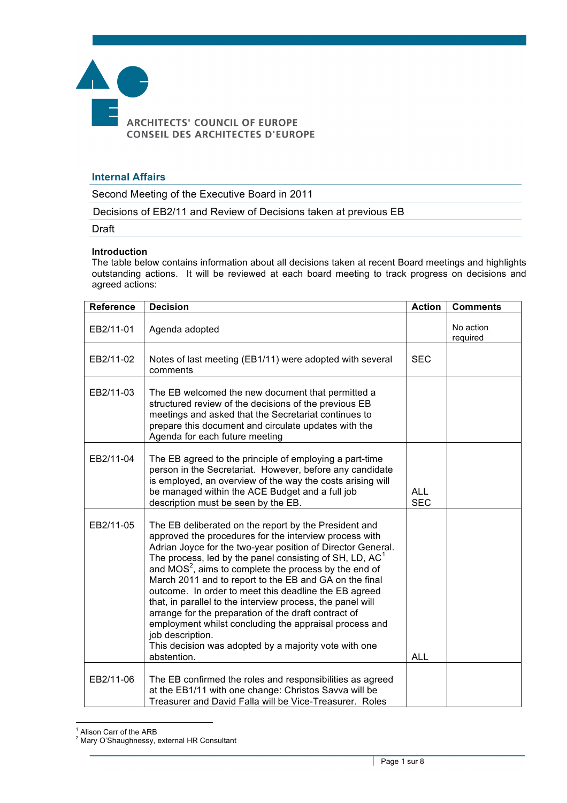

## **Internal Affairs**

Second Meeting of the Executive Board in 2011

Decisions of EB2/11 and Review of Decisions taken at previous EB

Draft

## **Introduction**

The table below contains information about all decisions taken at recent Board meetings and highlights outstanding actions. It will be reviewed at each board meeting to track progress on decisions and agreed actions:

| <b>Reference</b> | <b>Decision</b>                                                                                                                                                                                                                                                                                                                                                                                                                                                                                                                                                                                                                                                                                       | <b>Action</b>            | <b>Comments</b>       |
|------------------|-------------------------------------------------------------------------------------------------------------------------------------------------------------------------------------------------------------------------------------------------------------------------------------------------------------------------------------------------------------------------------------------------------------------------------------------------------------------------------------------------------------------------------------------------------------------------------------------------------------------------------------------------------------------------------------------------------|--------------------------|-----------------------|
| EB2/11-01        | Agenda adopted                                                                                                                                                                                                                                                                                                                                                                                                                                                                                                                                                                                                                                                                                        |                          | No action<br>required |
| EB2/11-02        | Notes of last meeting (EB1/11) were adopted with several<br>comments                                                                                                                                                                                                                                                                                                                                                                                                                                                                                                                                                                                                                                  | <b>SEC</b>               |                       |
| EB2/11-03        | The EB welcomed the new document that permitted a<br>structured review of the decisions of the previous EB<br>meetings and asked that the Secretariat continues to<br>prepare this document and circulate updates with the<br>Agenda for each future meeting                                                                                                                                                                                                                                                                                                                                                                                                                                          |                          |                       |
| EB2/11-04        | The EB agreed to the principle of employing a part-time<br>person in the Secretariat. However, before any candidate<br>is employed, an overview of the way the costs arising will<br>be managed within the ACE Budget and a full job<br>description must be seen by the EB.                                                                                                                                                                                                                                                                                                                                                                                                                           | <b>ALL</b><br><b>SEC</b> |                       |
| EB2/11-05        | The EB deliberated on the report by the President and<br>approved the procedures for the interview process with<br>Adrian Joyce for the two-year position of Director General.<br>The process, led by the panel consisting of SH, LD, $AC1$<br>and $MOS2$ , aims to complete the process by the end of<br>March 2011 and to report to the EB and GA on the final<br>outcome. In order to meet this deadline the EB agreed<br>that, in parallel to the interview process, the panel will<br>arrange for the preparation of the draft contract of<br>employment whilst concluding the appraisal process and<br>job description.<br>This decision was adopted by a majority vote with one<br>abstention. | <b>ALL</b>               |                       |
| EB2/11-06        | The EB confirmed the roles and responsibilities as agreed<br>at the EB1/11 with one change: Christos Savva will be<br>Treasurer and David Falla will be Vice-Treasurer. Roles                                                                                                                                                                                                                                                                                                                                                                                                                                                                                                                         |                          |                       |

 $\overline{a}$ <sup>1</sup> Alison Carr of the ARB

 $2$  Mary O'Shaughnessy, external HR Consultant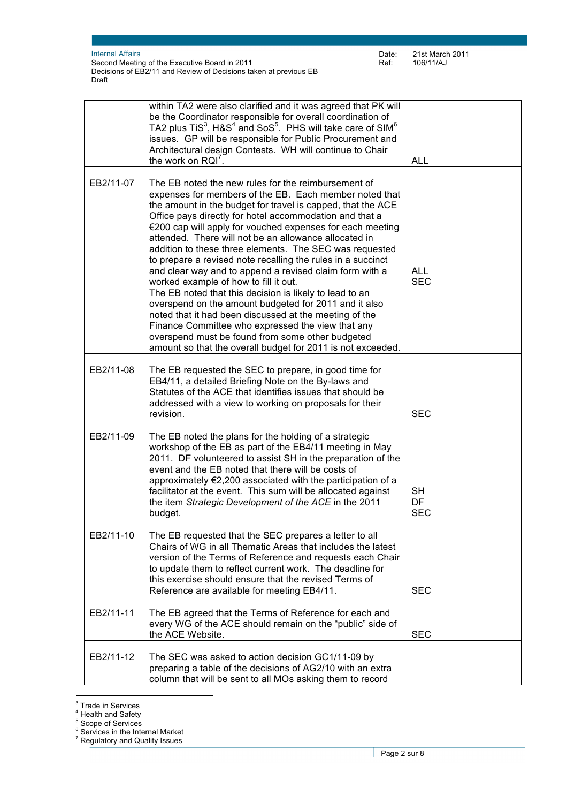|           | within TA2 were also clarified and it was agreed that PK will<br>be the Coordinator responsible for overall coordination of<br>TA2 plus TiS <sup>3</sup> , H&S <sup>4</sup> and SoS <sup>5</sup> . PHS will take care of SIM <sup>6</sup><br>issues. GP will be responsible for Public Procurement and<br>Architectural design Contests. WH will continue to Chair<br>the work on RQI <sup>7</sup>                                                                                                                                                                                                                                                                                                                                                                                                                                                                                                                                                | <b>ALL</b>                    |  |
|-----------|---------------------------------------------------------------------------------------------------------------------------------------------------------------------------------------------------------------------------------------------------------------------------------------------------------------------------------------------------------------------------------------------------------------------------------------------------------------------------------------------------------------------------------------------------------------------------------------------------------------------------------------------------------------------------------------------------------------------------------------------------------------------------------------------------------------------------------------------------------------------------------------------------------------------------------------------------|-------------------------------|--|
| EB2/11-07 | The EB noted the new rules for the reimbursement of<br>expenses for members of the EB. Each member noted that<br>the amount in the budget for travel is capped, that the ACE<br>Office pays directly for hotel accommodation and that a<br>€200 cap will apply for vouched expenses for each meeting<br>attended. There will not be an allowance allocated in<br>addition to these three elements. The SEC was requested<br>to prepare a revised note recalling the rules in a succinct<br>and clear way and to append a revised claim form with a<br>worked example of how to fill it out.<br>The EB noted that this decision is likely to lead to an<br>overspend on the amount budgeted for 2011 and it also<br>noted that it had been discussed at the meeting of the<br>Finance Committee who expressed the view that any<br>overspend must be found from some other budgeted<br>amount so that the overall budget for 2011 is not exceeded. | <b>ALL</b><br><b>SEC</b>      |  |
| EB2/11-08 | The EB requested the SEC to prepare, in good time for<br>EB4/11, a detailed Briefing Note on the By-laws and<br>Statutes of the ACE that identifies issues that should be<br>addressed with a view to working on proposals for their<br>revision.                                                                                                                                                                                                                                                                                                                                                                                                                                                                                                                                                                                                                                                                                                 | <b>SEC</b>                    |  |
| EB2/11-09 | The EB noted the plans for the holding of a strategic<br>workshop of the EB as part of the EB4/11 meeting in May<br>2011. DF volunteered to assist SH in the preparation of the<br>event and the EB noted that there will be costs of<br>approximately €2,200 associated with the participation of a<br>facilitator at the event. This sum will be allocated against<br>the item Strategic Development of the ACE in the 2011<br>budget.                                                                                                                                                                                                                                                                                                                                                                                                                                                                                                          | <b>SH</b><br>DF<br><b>SEC</b> |  |
| EB2/11-10 | The EB requested that the SEC prepares a letter to all<br>Chairs of WG in all Thematic Areas that includes the latest<br>version of the Terms of Reference and requests each Chair<br>to update them to reflect current work. The deadline for<br>this exercise should ensure that the revised Terms of<br>Reference are available for meeting EB4/11.                                                                                                                                                                                                                                                                                                                                                                                                                                                                                                                                                                                            | <b>SEC</b>                    |  |
| EB2/11-11 | The EB agreed that the Terms of Reference for each and<br>every WG of the ACE should remain on the "public" side of<br>the ACE Website.                                                                                                                                                                                                                                                                                                                                                                                                                                                                                                                                                                                                                                                                                                                                                                                                           | <b>SEC</b>                    |  |
| EB2/11-12 | The SEC was asked to action decision GC1/11-09 by<br>preparing a table of the decisions of AG2/10 with an extra<br>column that will be sent to all MOs asking them to record                                                                                                                                                                                                                                                                                                                                                                                                                                                                                                                                                                                                                                                                                                                                                                      |                               |  |

 $\overline{a}$ <sup>3</sup> Trade in Services

<sup>&</sup>lt;sup>4</sup> Health and Safety

 $^5$  Scope of Services<br> $^6$  Services in the Internal Market

 $7$  Regulatory and Quality Issues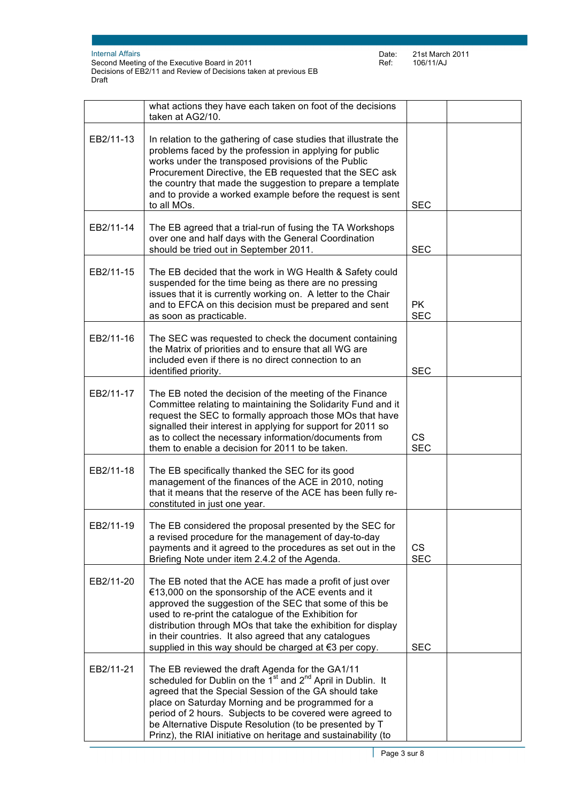|           | what actions they have each taken on foot of the decisions<br>taken at AG2/10.                                                                                                                                                                                                                                                                                                                                                                |                         |  |
|-----------|-----------------------------------------------------------------------------------------------------------------------------------------------------------------------------------------------------------------------------------------------------------------------------------------------------------------------------------------------------------------------------------------------------------------------------------------------|-------------------------|--|
| EB2/11-13 | In relation to the gathering of case studies that illustrate the<br>problems faced by the profession in applying for public<br>works under the transposed provisions of the Public<br>Procurement Directive, the EB requested that the SEC ask<br>the country that made the suggestion to prepare a template<br>and to provide a worked example before the request is sent<br>to all MOs.                                                     | <b>SEC</b>              |  |
| EB2/11-14 | The EB agreed that a trial-run of fusing the TA Workshops<br>over one and half days with the General Coordination<br>should be tried out in September 2011.                                                                                                                                                                                                                                                                                   | <b>SEC</b>              |  |
| EB2/11-15 | The EB decided that the work in WG Health & Safety could<br>suspended for the time being as there are no pressing<br>issues that it is currently working on. A letter to the Chair<br>and to EFCA on this decision must be prepared and sent<br>as soon as practicable.                                                                                                                                                                       | PK.<br><b>SEC</b>       |  |
| EB2/11-16 | The SEC was requested to check the document containing<br>the Matrix of priorities and to ensure that all WG are<br>included even if there is no direct connection to an<br>identified priority.                                                                                                                                                                                                                                              | <b>SEC</b>              |  |
| EB2/11-17 | The EB noted the decision of the meeting of the Finance<br>Committee relating to maintaining the Solidarity Fund and it<br>request the SEC to formally approach those MOs that have<br>signalled their interest in applying for support for 2011 so<br>as to collect the necessary information/documents from<br>them to enable a decision for 2011 to be taken.                                                                              | <b>CS</b><br><b>SEC</b> |  |
| EB2/11-18 | The EB specifically thanked the SEC for its good<br>management of the finances of the ACE in 2010, noting<br>that it means that the reserve of the ACE has been fully re-<br>constituted in just one year.                                                                                                                                                                                                                                    |                         |  |
| EB2/11-19 | The EB considered the proposal presented by the SEC for<br>a revised procedure for the management of day-to-day<br>payments and it agreed to the procedures as set out in the<br>Briefing Note under item 2.4.2 of the Agenda.                                                                                                                                                                                                                | <b>CS</b><br><b>SEC</b> |  |
| EB2/11-20 | The EB noted that the ACE has made a profit of just over<br>€13,000 on the sponsorship of the ACE events and it<br>approved the suggestion of the SEC that some of this be<br>used to re-print the catalogue of the Exhibition for<br>distribution through MOs that take the exhibition for display<br>in their countries. It also agreed that any catalogues<br>supplied in this way should be charged at €3 per copy.                       | <b>SEC</b>              |  |
| EB2/11-21 | The EB reviewed the draft Agenda for the GA1/11<br>scheduled for Dublin on the 1 <sup>st</sup> and 2 <sup>nd</sup> April in Dublin. It<br>agreed that the Special Session of the GA should take<br>place on Saturday Morning and be programmed for a<br>period of 2 hours. Subjects to be covered were agreed to<br>be Alternative Dispute Resolution (to be presented by T<br>Prinz), the RIAI initiative on heritage and sustainability (to |                         |  |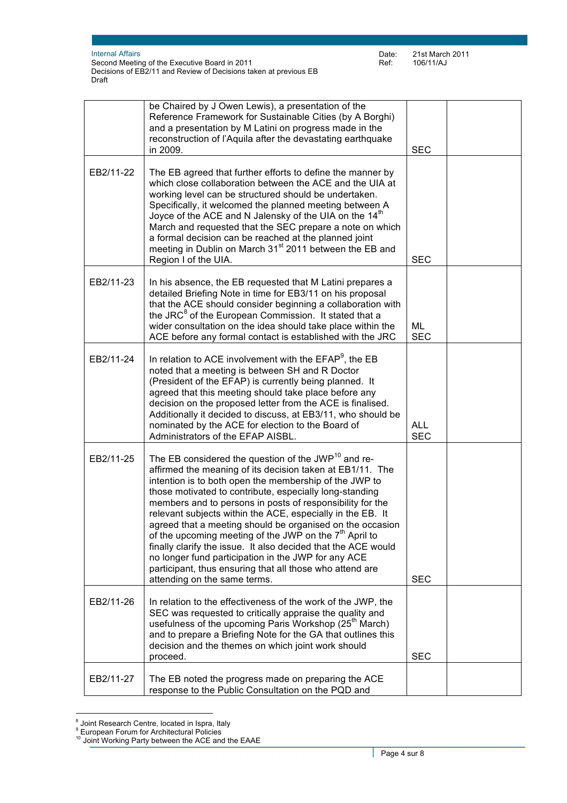|           | be Chaired by J Owen Lewis), a presentation of the<br>Reference Framework for Sustainable Cities (by A Borghi)<br>and a presentation by M Latini on progress made in the<br>reconstruction of l'Aquila after the devastating earthquake<br>in 2009.                                                                                                                                                                                                                                                                                                                                                                                                                                                                                 | <b>SEC</b>               |  |
|-----------|-------------------------------------------------------------------------------------------------------------------------------------------------------------------------------------------------------------------------------------------------------------------------------------------------------------------------------------------------------------------------------------------------------------------------------------------------------------------------------------------------------------------------------------------------------------------------------------------------------------------------------------------------------------------------------------------------------------------------------------|--------------------------|--|
| EB2/11-22 | The EB agreed that further efforts to define the manner by<br>which close collaboration between the ACE and the UIA at<br>working level can be structured should be undertaken.<br>Specifically, it welcomed the planned meeting between A<br>Joyce of the ACE and N Jalensky of the UIA on the 14 <sup>th</sup><br>March and requested that the SEC prepare a note on which<br>a formal decision can be reached at the planned joint<br>meeting in Dublin on March 31 <sup>st</sup> 2011 between the EB and<br>Region I of the UIA.                                                                                                                                                                                                | <b>SEC</b>               |  |
| EB2/11-23 | In his absence, the EB requested that M Latini prepares a<br>detailed Briefing Note in time for EB3/11 on his proposal<br>that the ACE should consider beginning a collaboration with<br>the JRC <sup>8</sup> of the European Commission. It stated that a<br>wider consultation on the idea should take place within the<br>ACE before any formal contact is established with the JRC                                                                                                                                                                                                                                                                                                                                              | ML<br><b>SEC</b>         |  |
| EB2/11-24 | In relation to ACE involvement with the EFAP <sup>9</sup> , the EB<br>noted that a meeting is between SH and R Doctor<br>(President of the EFAP) is currently being planned. It<br>agreed that this meeting should take place before any<br>decision on the proposed letter from the ACE is finalised.<br>Additionally it decided to discuss, at EB3/11, who should be<br>nominated by the ACE for election to the Board of<br>Administrators of the EFAP AISBL.                                                                                                                                                                                                                                                                    | <b>ALL</b><br><b>SEC</b> |  |
| EB2/11-25 | The EB considered the question of the JWP <sup>10</sup> and re-<br>affirmed the meaning of its decision taken at EB1/11. The<br>intention is to both open the membership of the JWP to<br>those motivated to contribute, especially long-standing<br>members and to persons in posts of responsibility for the<br>relevant subjects within the ACE, especially in the EB. It<br>agreed that a meeting should be organised on the occasion<br>of the upcoming meeting of the JWP on the 7 <sup>th</sup> April to<br>finally clarify the issue. It also decided that the ACE would<br>no longer fund participation in the JWP for any ACE<br>participant, thus ensuring that all those who attend are<br>attending on the same terms. | <b>SEC</b>               |  |
| EB2/11-26 | In relation to the effectiveness of the work of the JWP, the<br>SEC was requested to critically appraise the quality and<br>usefulness of the upcoming Paris Workshop (25 <sup>th</sup> March)<br>and to prepare a Briefing Note for the GA that outlines this<br>decision and the themes on which joint work should<br>proceed.                                                                                                                                                                                                                                                                                                                                                                                                    | <b>SEC</b>               |  |
| EB2/11-27 | The EB noted the progress made on preparing the ACE<br>response to the Public Consultation on the PQD and                                                                                                                                                                                                                                                                                                                                                                                                                                                                                                                                                                                                                           |                          |  |

 $\overline{a}$ <sup>8</sup> Joint Research Centre, located in Ispra, Italy

<sup>&</sup>lt;sup>9</sup> European Forum for Architectural Policies

 $10$  Joint Working Party between the ACE and the EAAE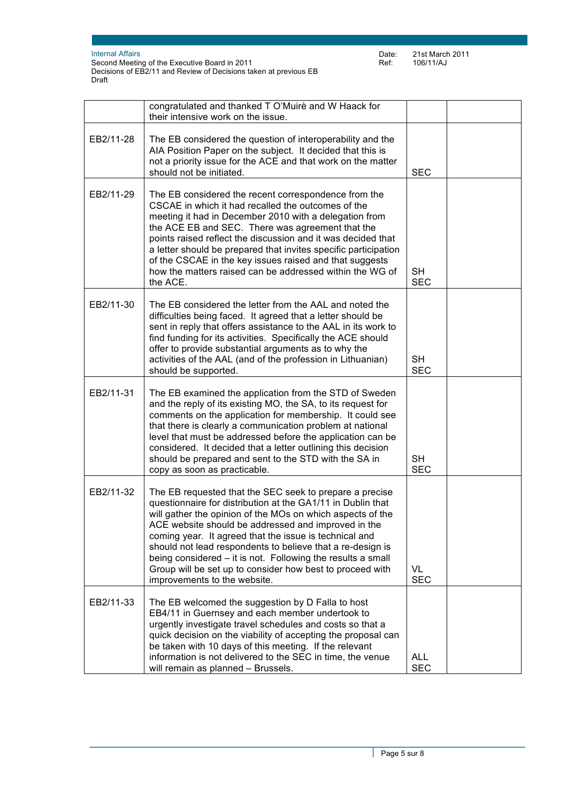Internal Affairs

Second Meeting of the Executive Board in 2011 Decisions of EB2/11 and Review of Decisions taken at previous EB Draft

|           | congratulated and thanked T O'Muirè and W Haack for<br>their intensive work on the issue.                                                                                                                                                                                                                                                                                                                                                                                                                                       |                          |  |
|-----------|---------------------------------------------------------------------------------------------------------------------------------------------------------------------------------------------------------------------------------------------------------------------------------------------------------------------------------------------------------------------------------------------------------------------------------------------------------------------------------------------------------------------------------|--------------------------|--|
| EB2/11-28 | The EB considered the question of interoperability and the<br>AIA Position Paper on the subject. It decided that this is<br>not a priority issue for the ACE and that work on the matter<br>should not be initiated.                                                                                                                                                                                                                                                                                                            | <b>SEC</b>               |  |
| EB2/11-29 | The EB considered the recent correspondence from the<br>CSCAE in which it had recalled the outcomes of the<br>meeting it had in December 2010 with a delegation from<br>the ACE EB and SEC. There was agreement that the<br>points raised reflect the discussion and it was decided that<br>a letter should be prepared that invites specific participation<br>of the CSCAE in the key issues raised and that suggests<br>how the matters raised can be addressed within the WG of<br>the ACE.                                  | <b>SH</b><br><b>SEC</b>  |  |
| EB2/11-30 | The EB considered the letter from the AAL and noted the<br>difficulties being faced. It agreed that a letter should be<br>sent in reply that offers assistance to the AAL in its work to<br>find funding for its activities. Specifically the ACE should<br>offer to provide substantial arguments as to why the<br>activities of the AAL (and of the profession in Lithuanian)<br>should be supported.                                                                                                                         | <b>SH</b><br><b>SEC</b>  |  |
| EB2/11-31 | The EB examined the application from the STD of Sweden<br>and the reply of its existing MO, the SA, to its request for<br>comments on the application for membership. It could see<br>that there is clearly a communication problem at national<br>level that must be addressed before the application can be<br>considered. It decided that a letter outlining this decision<br>should be prepared and sent to the STD with the SA in<br>copy as soon as practicable.                                                          | <b>SH</b><br><b>SEC</b>  |  |
| EB2/11-32 | The EB requested that the SEC seek to prepare a precise<br>questionnaire for distribution at the GA1/11 in Dublin that<br>will gather the opinion of the MOs on which aspects of the<br>ACE website should be addressed and improved in the<br>coming year. It agreed that the issue is technical and<br>should not lead respondents to believe that a re-design is<br>being considered – it is not. Following the results a small<br>Group will be set up to consider how best to proceed with<br>improvements to the website. | VL<br><b>SEC</b>         |  |
| EB2/11-33 | The EB welcomed the suggestion by D Falla to host<br>EB4/11 in Guernsey and each member undertook to<br>urgently investigate travel schedules and costs so that a<br>quick decision on the viability of accepting the proposal can<br>be taken with 10 days of this meeting. If the relevant<br>information is not delivered to the SEC in time, the venue<br>will remain as planned - Brussels.                                                                                                                                | <b>ALL</b><br><b>SEC</b> |  |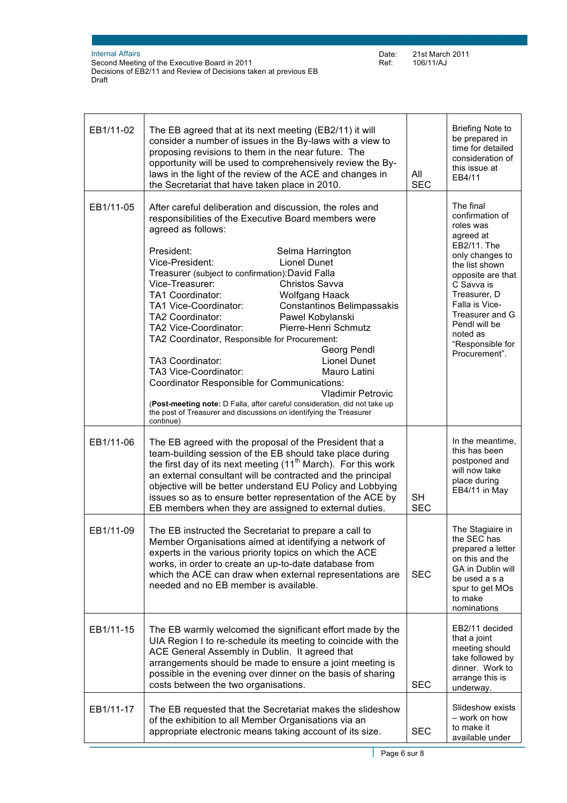| EB1/11-02 | The EB agreed that at its next meeting (EB2/11) it will<br>consider a number of issues in the By-laws with a view to<br>proposing revisions to them in the near future. The<br>opportunity will be used to comprehensively review the By-<br>laws in the light of the review of the ACE and changes in<br>the Secretariat that have taken place in 2010.                                                                                                                                                                                                                                                                                                                                                                                                                                                                                                                                         | All<br><b>SEC</b> | <b>Briefing Note to</b><br>be prepared in<br>time for detailed<br>consideration of<br>this issue at<br>EB4/11                                                                                                                                                        |
|-----------|--------------------------------------------------------------------------------------------------------------------------------------------------------------------------------------------------------------------------------------------------------------------------------------------------------------------------------------------------------------------------------------------------------------------------------------------------------------------------------------------------------------------------------------------------------------------------------------------------------------------------------------------------------------------------------------------------------------------------------------------------------------------------------------------------------------------------------------------------------------------------------------------------|-------------------|----------------------------------------------------------------------------------------------------------------------------------------------------------------------------------------------------------------------------------------------------------------------|
| EB1/11-05 | After careful deliberation and discussion, the roles and<br>responsibilities of the Executive Board members were<br>agreed as follows:<br>President:<br>Selma Harrington<br>Vice-President:<br>Lionel Dunet<br>Treasurer (subject to confirmation): David Falla<br>Vice-Treasurer:<br>Christos Savva<br>TA1 Coordinator:<br><b>Wolfgang Haack</b><br>TA1 Vice-Coordinator:<br>Constantinos Belimpassakis<br>Pawel Kobylanski<br>TA2 Coordinator:<br>Pierre-Henri Schmutz<br>TA2 Vice-Coordinator:<br>TA2 Coordinator, Responsible for Procurement:<br>Georg Pendl<br>TA3 Coordinator:<br><b>Lionel Dunet</b><br>TA3 Vice-Coordinator:<br>Mauro Latini<br>Coordinator Responsible for Communications:<br><b>Vladimir Petrovic</b><br>(Post-meeting note: D Falla, after careful consideration, did not take up<br>the post of Treasurer and discussions on identifying the Treasurer<br>continue) |                   | The final<br>confirmation of<br>roles was<br>agreed at<br>EB2/11. The<br>only changes to<br>the list shown<br>opposite are that<br>C Savva is<br>Treasurer, D<br>Falla is Vice-<br>Treasurer and G<br>Pendl will be<br>noted as<br>"Responsible for<br>Procurement". |
| EB1/11-06 | The EB agreed with the proposal of the President that a<br>team-building session of the EB should take place during<br>the first day of its next meeting (11 <sup>th</sup> March). For this work<br>an external consultant will be contracted and the principal<br>objective will be better understand EU Policy and Lobbying<br>issues so as to ensure better representation of the ACE by<br>EB members when they are assigned to external duties.                                                                                                                                                                                                                                                                                                                                                                                                                                             | SH<br><b>SEC</b>  | In the meantime,<br>this has been<br>postponed and<br>will now take<br>place during<br>EB4/11 in May                                                                                                                                                                 |
| EB1/11-09 | The EB instructed the Secretariat to prepare a call to<br>Member Organisations aimed at identifying a network of<br>experts in the various priority topics on which the ACE<br>works, in order to create an up-to-date database from<br>which the ACE can draw when external representations are<br>needed and no EB member is available.                                                                                                                                                                                                                                                                                                                                                                                                                                                                                                                                                        | <b>SEC</b>        | The Stagiaire in<br>the SEC has<br>prepared a letter<br>on this and the<br>GA in Dublin will<br>be used a s a<br>spur to get MOs<br>to make<br>nominations                                                                                                           |
| EB1/11-15 | The EB warmly welcomed the significant effort made by the<br>UIA Region I to re-schedule its meeting to coincide with the<br>ACE General Assembly in Dublin. It agreed that<br>arrangements should be made to ensure a joint meeting is<br>possible in the evening over dinner on the basis of sharing<br>costs between the two organisations.                                                                                                                                                                                                                                                                                                                                                                                                                                                                                                                                                   | <b>SEC</b>        | EB2/11 decided<br>that a joint<br>meeting should<br>take followed by<br>dinner. Work to<br>arrange this is<br>underway.                                                                                                                                              |
| EB1/11-17 | The EB requested that the Secretariat makes the slideshow<br>of the exhibition to all Member Organisations via an<br>appropriate electronic means taking account of its size.                                                                                                                                                                                                                                                                                                                                                                                                                                                                                                                                                                                                                                                                                                                    | <b>SEC</b>        | Slideshow exists<br>- work on how<br>to make it<br>available under                                                                                                                                                                                                   |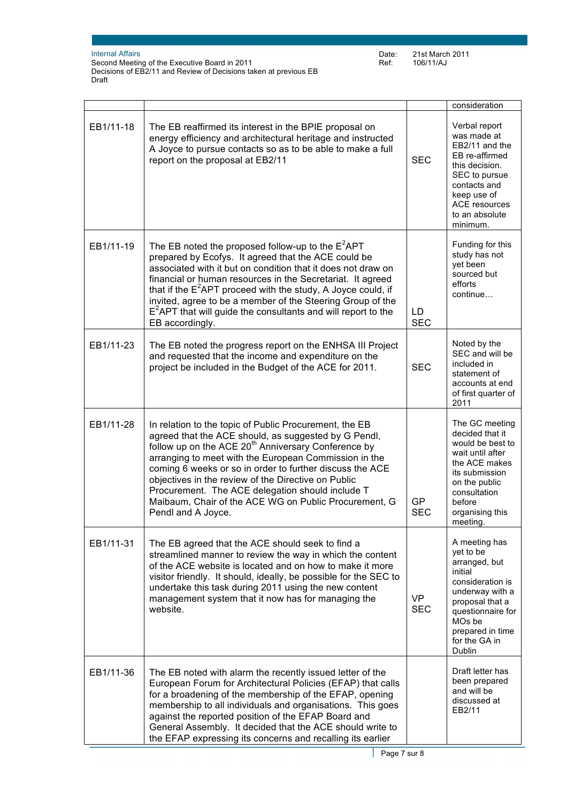|           |                                                                                                                                                                                                                                                                                                                                                                                                                                                                                                  |                         | consideration                                                                                                                                                                                              |
|-----------|--------------------------------------------------------------------------------------------------------------------------------------------------------------------------------------------------------------------------------------------------------------------------------------------------------------------------------------------------------------------------------------------------------------------------------------------------------------------------------------------------|-------------------------|------------------------------------------------------------------------------------------------------------------------------------------------------------------------------------------------------------|
| EB1/11-18 | The EB reaffirmed its interest in the BPIE proposal on<br>energy efficiency and architectural heritage and instructed<br>A Joyce to pursue contacts so as to be able to make a full<br>report on the proposal at EB2/11                                                                                                                                                                                                                                                                          | <b>SEC</b>              | Verbal report<br>was made at<br>EB2/11 and the<br>EB re-affirmed<br>this decision.<br>SEC to pursue<br>contacts and<br>keep use of<br><b>ACE resources</b><br>to an absolute<br>minimum.                   |
| EB1/11-19 | The EB noted the proposed follow-up to the $E^2$ APT<br>prepared by Ecofys. It agreed that the ACE could be<br>associated with it but on condition that it does not draw on<br>financial or human resources in the Secretariat. It agreed<br>that if the $E^2$ APT proceed with the study, A Joyce could, if<br>invited, agree to be a member of the Steering Group of the<br>$E2$ APT that will guide the consultants and will report to the<br>EB accordingly.                                 | LD<br><b>SEC</b>        | Funding for this<br>study has not<br>yet been<br>sourced but<br>efforts<br>continue                                                                                                                        |
| EB1/11-23 | The EB noted the progress report on the ENHSA III Project<br>and requested that the income and expenditure on the<br>project be included in the Budget of the ACE for 2011.                                                                                                                                                                                                                                                                                                                      | <b>SEC</b>              | Noted by the<br>SEC and will be<br>included in<br>statement of<br>accounts at end<br>of first quarter of<br>2011                                                                                           |
| EB1/11-28 | In relation to the topic of Public Procurement, the EB<br>agreed that the ACE should, as suggested by G Pendl,<br>follow up on the ACE 20 <sup>th</sup> Anniversary Conference by<br>arranging to meet with the European Commission in the<br>coming 6 weeks or so in order to further discuss the ACE<br>objectives in the review of the Directive on Public<br>Procurement. The ACE delegation should include T<br>Maibaum, Chair of the ACE WG on Public Procurement, G<br>Pendl and A Joyce. | <b>GP</b><br><b>SEC</b> | The GC meeting<br>decided that it<br>would be best to<br>wait until after<br>the ACE makes<br>its submission<br>on the public<br>consultation<br>before<br>organising this<br>meeting.                     |
| EB1/11-31 | The EB agreed that the ACE should seek to find a<br>streamlined manner to review the way in which the content<br>of the ACE website is located and on how to make it more<br>visitor friendly. It should, ideally, be possible for the SEC to<br>undertake this task during 2011 using the new content<br>management system that it now has for managing the<br>website.                                                                                                                         | <b>VP</b><br><b>SEC</b> | A meeting has<br>yet to be<br>arranged, but<br>initial<br>consideration is<br>underway with a<br>proposal that a<br>questionnaire for<br>MO <sub>s</sub> be<br>prepared in time<br>for the GA in<br>Dublin |
| EB1/11-36 | The EB noted with alarm the recently issued letter of the<br>European Forum for Architectural Policies (EFAP) that calls<br>for a broadening of the membership of the EFAP, opening<br>membership to all individuals and organisations. This goes<br>against the reported position of the EFAP Board and<br>General Assembly. It decided that the ACE should write to<br>the EFAP expressing its concerns and recalling its earlier                                                              |                         | Draft letter has<br>been prepared<br>and will be<br>discussed at<br>EB2/11                                                                                                                                 |